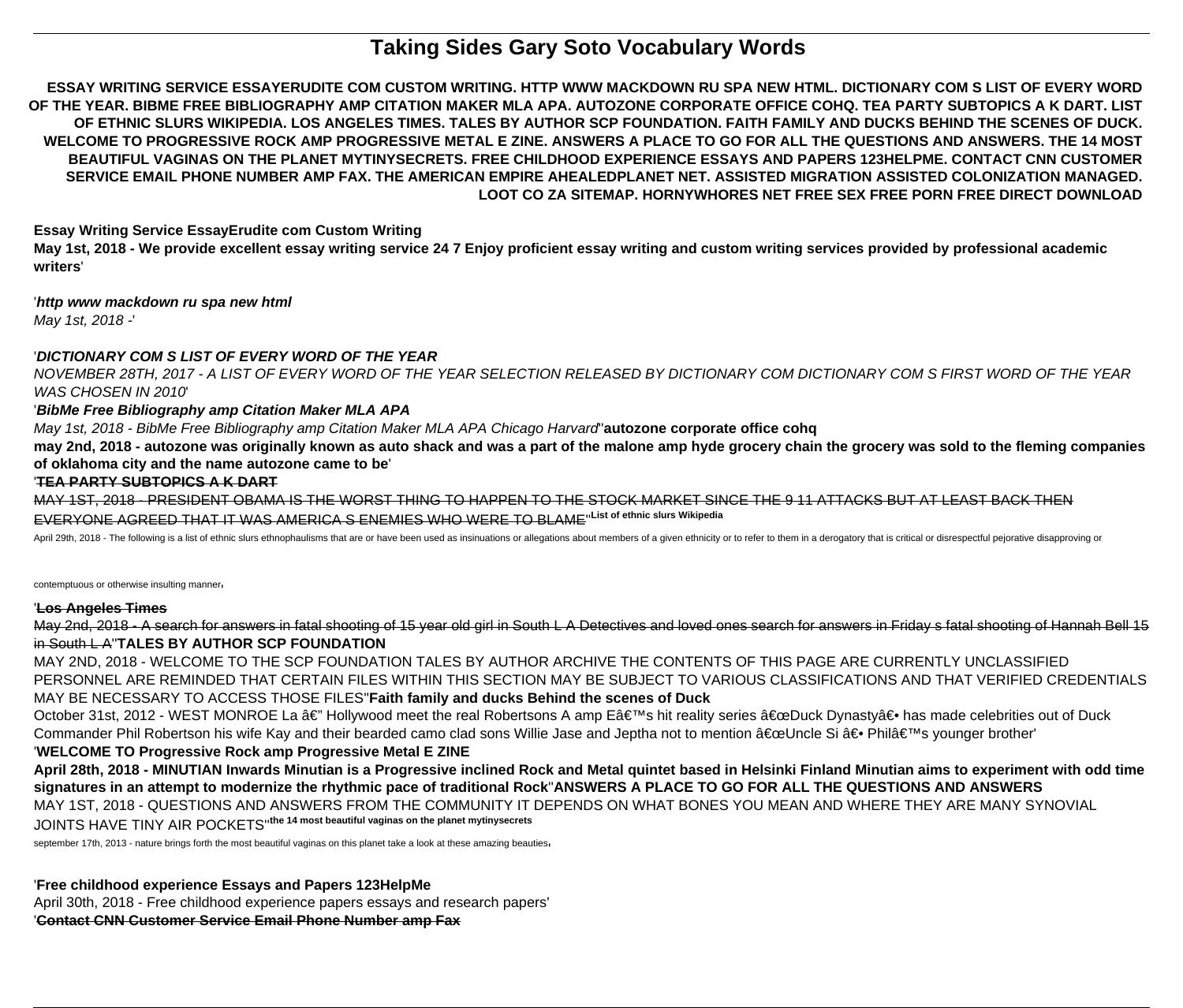# **Taking Sides Gary Soto Vocabulary Words**

**ESSAY WRITING SERVICE ESSAYERUDITE COM CUSTOM WRITING. HTTP WWW MACKDOWN RU SPA NEW HTML. DICTIONARY COM S LIST OF EVERY WORD OF THE YEAR. BIBME FREE BIBLIOGRAPHY AMP CITATION MAKER MLA APA. AUTOZONE CORPORATE OFFICE COHQ. TEA PARTY SUBTOPICS A K DART. LIST OF ETHNIC SLURS WIKIPEDIA. LOS ANGELES TIMES. TALES BY AUTHOR SCP FOUNDATION. FAITH FAMILY AND DUCKS BEHIND THE SCENES OF DUCK. WELCOME TO PROGRESSIVE ROCK AMP PROGRESSIVE METAL E ZINE. ANSWERS A PLACE TO GO FOR ALL THE QUESTIONS AND ANSWERS. THE 14 MOST BEAUTIFUL VAGINAS ON THE PLANET MYTINYSECRETS. FREE CHILDHOOD EXPERIENCE ESSAYS AND PAPERS 123HELPME. CONTACT CNN CUSTOMER SERVICE EMAIL PHONE NUMBER AMP FAX. THE AMERICAN EMPIRE AHEALEDPLANET NET. ASSISTED MIGRATION ASSISTED COLONIZATION MANAGED. LOOT CO ZA SITEMAP. HORNYWHORES NET FREE SEX FREE PORN FREE DIRECT DOWNLOAD**

**Essay Writing Service EssayErudite com Custom Writing**

**May 1st, 2018 - We provide excellent essay writing service 24 7 Enjoy proficient essay writing and custom writing services provided by professional academic writers**'

'**http www mackdown ru spa new html** May 1st, 2018 -'

# '**DICTIONARY COM S LIST OF EVERY WORD OF THE YEAR**

NOVEMBER 28TH, 2017 - A LIST OF EVERY WORD OF THE YEAR SELECTION RELEASED BY DICTIONARY COM DICTIONARY COM S FIRST WORD OF THE YEAR WAS CHOSEN IN 2010'

'**BibMe Free Bibliography amp Citation Maker MLA APA**

May 1st, 2018 - BibMe Free Bibliography amp Citation Maker MLA APA Chicago Harvard''**autozone corporate office cohq**

**may 2nd, 2018 - autozone was originally known as auto shack and was a part of the malone amp hyde grocery chain the grocery was sold to the fleming companies of oklahoma city and the name autozone came to be**'

## '**TEA PARTY SUBTOPICS A K DART**

MAY 1ST, 2018 - PRESIDENT OBAMA IS THE WORST THING TO HAPPEN TO THE STOCK MARKET SINCE THE 9 11 ATTACKS BUT AT LEAST BACK THEN

#### EVERYONE AGREED THAT IT WAS AMERICA S ENEMIES WHO WERE TO BLAME''**List of ethnic slurs Wikipedia**

April 29th, 2018 - The following is a list of ethnic slurs ethnophaulisms that are or have been used as insinuations or allegations about members of a given ethnicity or to refer to them in a derogatory that is critical or

contemptuous or otherwise insulting manner'

#### '**Los Angeles Times**

May 2nd, 2018 - A search for answers in fatal shooting of 15 year old girl in South L A Detectives and loved ones search for answers in Friday s fatal shooting of Hannah Bell 15 in South L A''**TALES BY AUTHOR SCP FOUNDATION**

MAY 2ND, 2018 - WELCOME TO THE SCP FOUNDATION TALES BY AUTHOR ARCHIVE THE CONTENTS OF THIS PAGE ARE CURRENTLY UNCLASSIFIED PERSONNEL ARE REMINDED THAT CERTAIN FILES WITHIN THIS SECTION MAY BE SUBJECT TO VARIOUS CLASSIFICATIONS AND THAT VERIFIED CREDENTIALS MAY BE NECESSARY TO ACCESS THOSE FILES''**Faith family and ducks Behind the scenes of Duck**

October 31st, 2012 - WEST MONROE La â€" Hollywood meet the real Robertsons A amp E's hit reality series "Duck Dynasty― has made celebrities out of Duck Commander Phil Robertson his wife Kay and their bearded camo clad sons Willie Jase and Jeptha not to mention "Uncle Si ― Phil's younger brother' '**WELCOME TO Progressive Rock amp Progressive Metal E ZINE**

**April 28th, 2018 - MINUTIAN Inwards Minutian is a Progressive inclined Rock and Metal quintet based in Helsinki Finland Minutian aims to experiment with odd time signatures in an attempt to modernize the rhythmic pace of traditional Rock**''**ANSWERS A PLACE TO GO FOR ALL THE QUESTIONS AND ANSWERS** MAY 1ST, 2018 - QUESTIONS AND ANSWERS FROM THE COMMUNITY IT DEPENDS ON WHAT BONES YOU MEAN AND WHERE THEY ARE MANY SYNOVIAL JOINTS HAVE TINY AIR POCKETS''**the 14 most beautiful vaginas on the planet mytinysecrets**

september 17th, 2013 - nature brings forth the most beautiful vaginas on this planet take a look at these amazing beauties

'**Free childhood experience Essays and Papers 123HelpMe**

April 30th, 2018 - Free childhood experience papers essays and research papers'

'**Contact CNN Customer Service Email Phone Number amp Fax**